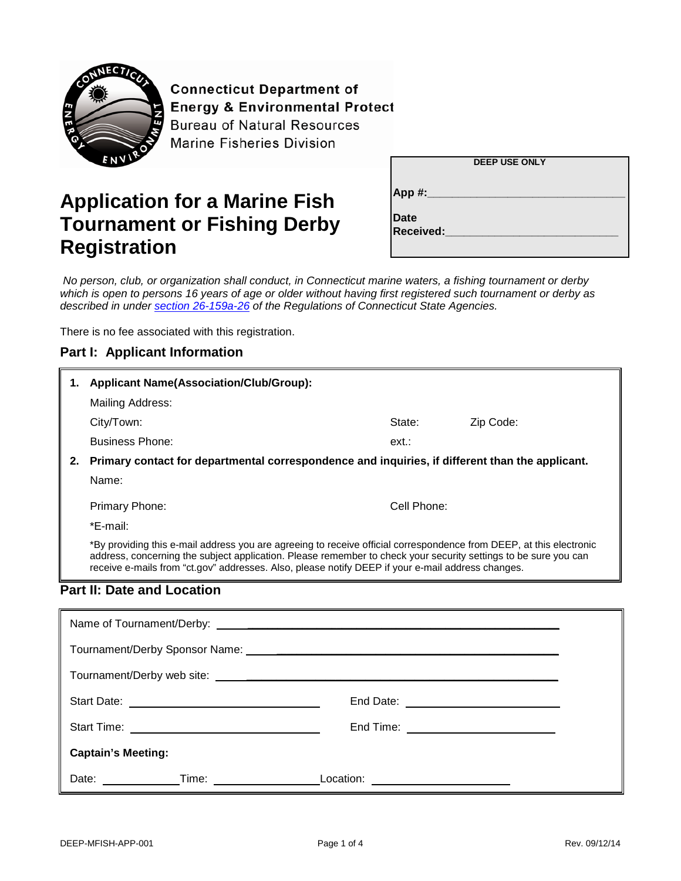

**Connecticut Department of Energy & Environmental Protect Bureau of Natural Resources Marine Fisheries Division** 

# **Application for a Marine Fish Tournament or Fishing Derby Registration**

| <b>DEEP USE ONLY</b>            |  |  |  |
|---------------------------------|--|--|--|
| App #:                          |  |  |  |
| <b>Date</b><br><b>Received:</b> |  |  |  |
|                                 |  |  |  |

*No person, club, or organization shall conduct, in Connecticut marine waters, a fishing tournament or derby*  which is open to persons 16 years of age or older without having first registered such tournament or derby as *described in under [section 26-159a-26](http://www.ct.gov/deep/lib/deep/regulations/26/26-112-21through48.pdf) of the Regulations of Connecticut State Agencies.*

There is no fee associated with this registration.

### **Part I: Applicant Information**

| 1.    | <b>Applicant Name(Association/Club/Group):</b>                                                                                                                                                                                                                                                                                              |             |                                              |  |  |
|-------|---------------------------------------------------------------------------------------------------------------------------------------------------------------------------------------------------------------------------------------------------------------------------------------------------------------------------------------------|-------------|----------------------------------------------|--|--|
|       | Mailing Address:                                                                                                                                                                                                                                                                                                                            |             |                                              |  |  |
|       | City/Town:                                                                                                                                                                                                                                                                                                                                  | State:      | Zip Code:                                    |  |  |
|       | <b>Business Phone:</b>                                                                                                                                                                                                                                                                                                                      | ext:        |                                              |  |  |
| 2.    | Primary contact for departmental correspondence and inquiries, if different than the applicant.                                                                                                                                                                                                                                             |             |                                              |  |  |
|       | Name:                                                                                                                                                                                                                                                                                                                                       |             |                                              |  |  |
|       | Primary Phone:                                                                                                                                                                                                                                                                                                                              | Cell Phone: |                                              |  |  |
|       | *E-mail:                                                                                                                                                                                                                                                                                                                                    |             |                                              |  |  |
|       | *By providing this e-mail address you are agreeing to receive official correspondence from DEEP, at this electronic<br>address, concerning the subject application. Please remember to check your security settings to be sure you can<br>receive e-mails from "ct.gov" addresses. Also, please notify DEEP if your e-mail address changes. |             |                                              |  |  |
|       | <b>Part II: Date and Location</b>                                                                                                                                                                                                                                                                                                           |             |                                              |  |  |
|       |                                                                                                                                                                                                                                                                                                                                             |             |                                              |  |  |
|       |                                                                                                                                                                                                                                                                                                                                             |             |                                              |  |  |
|       |                                                                                                                                                                                                                                                                                                                                             |             |                                              |  |  |
|       |                                                                                                                                                                                                                                                                                                                                             |             |                                              |  |  |
|       |                                                                                                                                                                                                                                                                                                                                             |             | End Date: <u>___________________________</u> |  |  |
|       |                                                                                                                                                                                                                                                                                                                                             |             | End Time: ___________________________        |  |  |
|       | <b>Captain's Meeting:</b>                                                                                                                                                                                                                                                                                                                   |             |                                              |  |  |
| Date: | Time:                                                                                                                                                                                                                                                                                                                                       | Location:   |                                              |  |  |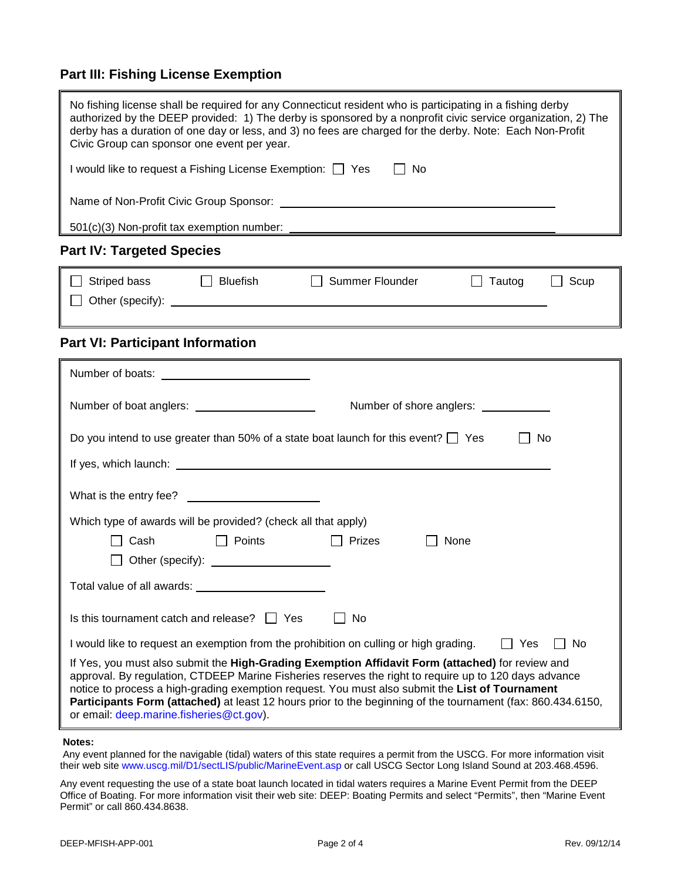### **Part III: Fishing License Exemption**

| No fishing license shall be required for any Connecticut resident who is participating in a fishing derby<br>authorized by the DEEP provided: 1) The derby is sponsored by a nonprofit civic service organization, 2) The<br>derby has a duration of one day or less, and 3) no fees are charged for the derby. Note: Each Non-Profit<br>Civic Group can sponsor one event per year.                                                                                    |  |  |  |
|-------------------------------------------------------------------------------------------------------------------------------------------------------------------------------------------------------------------------------------------------------------------------------------------------------------------------------------------------------------------------------------------------------------------------------------------------------------------------|--|--|--|
| I would like to request a Fishing License Exemption: I Yes<br>$\Box$ No                                                                                                                                                                                                                                                                                                                                                                                                 |  |  |  |
|                                                                                                                                                                                                                                                                                                                                                                                                                                                                         |  |  |  |
| 501(c)(3) Non-profit tax exemption number:                                                                                                                                                                                                                                                                                                                                                                                                                              |  |  |  |
| <b>Part IV: Targeted Species</b>                                                                                                                                                                                                                                                                                                                                                                                                                                        |  |  |  |
| □ Striped bass □ Bluefish<br>Summer Flounder<br>$\Box$<br>Tautog<br>Scup                                                                                                                                                                                                                                                                                                                                                                                                |  |  |  |
| <b>Part VI: Participant Information</b>                                                                                                                                                                                                                                                                                                                                                                                                                                 |  |  |  |
|                                                                                                                                                                                                                                                                                                                                                                                                                                                                         |  |  |  |
|                                                                                                                                                                                                                                                                                                                                                                                                                                                                         |  |  |  |
| Do you intend to use greater than 50% of a state boat launch for this event? $\Box$ Yes<br>No                                                                                                                                                                                                                                                                                                                                                                           |  |  |  |
| What is the entry fee?<br>Which type of awards will be provided? (check all that apply)                                                                                                                                                                                                                                                                                                                                                                                 |  |  |  |
| <b>Example 1</b> Points<br>$\Box$ Cash<br>$\Box$ Prizes<br>None                                                                                                                                                                                                                                                                                                                                                                                                         |  |  |  |
| □ Other (specify): <u>contract and all</u>                                                                                                                                                                                                                                                                                                                                                                                                                              |  |  |  |
| Total value of all awards:                                                                                                                                                                                                                                                                                                                                                                                                                                              |  |  |  |
| Is this tournament catch and release?<br><b>No</b><br><b>Yes</b>                                                                                                                                                                                                                                                                                                                                                                                                        |  |  |  |
| I would like to request an exemption from the prohibition on culling or high grading.<br>No<br>Yes                                                                                                                                                                                                                                                                                                                                                                      |  |  |  |
| If Yes, you must also submit the High-Grading Exemption Affidavit Form (attached) for review and<br>approval. By regulation, CTDEEP Marine Fisheries reserves the right to require up to 120 days advance<br>notice to process a high-grading exemption request. You must also submit the List of Tournament<br>Participants Form (attached) at least 12 hours prior to the beginning of the tournament (fax: 860.434.6150,<br>or email: deep.marine.fisheries@ct.gov). |  |  |  |

#### **Notes:**

Any event planned for the navigable (tidal) waters of this state requires a permit from the USCG. For more information visit their web site www.uscg.mil/D1/sectLIS/public/MarineEvent.asp or call USCG Sector Long Island Sound at 203.468.4596.

Any event requesting the use of a state boat launch located in tidal waters requires a Marine Event Permit from the DEEP Office of Boating. For more information visit their web site: DEEP: Boating Permits and select "Permits", then "Marine Event Permit" or call 860.434.8638.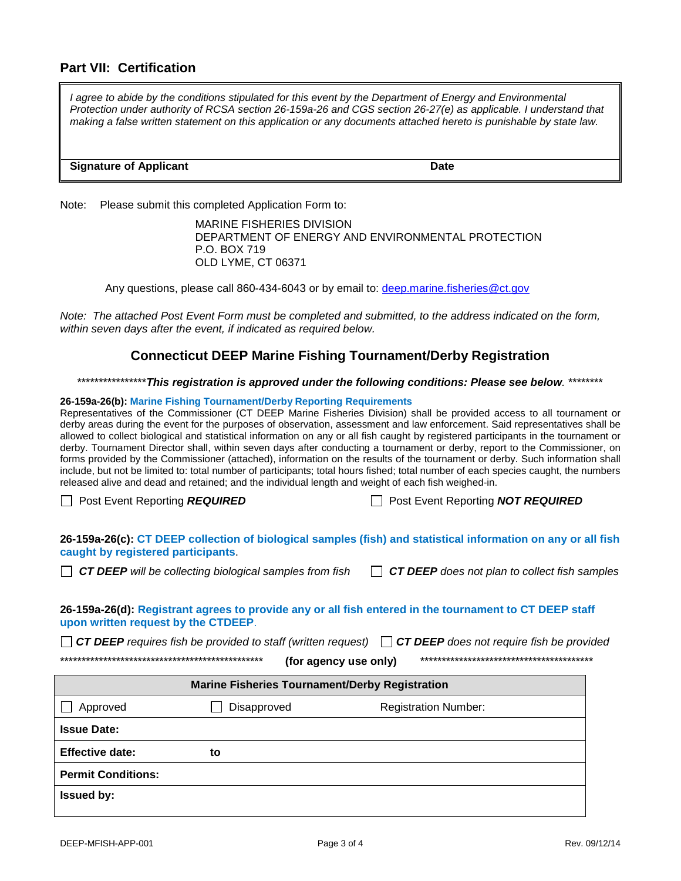### **Part VII: Certification**

*I* agree to abide by the conditions stipulated for this event by the Department of Energy and Environmental *Protection under authority of RCSA section 26-159a-26 and CGS section 26-27(e) as applicable. I understand that making a false written statement on this application or any documents attached hereto is punishable by state law.* 

#### **Signature of Applicant Date**

Note: Please submit this completed Application Form to:

MARINE FISHERIES DIVISION DEPARTMENT OF ENERGY AND ENVIRONMENTAL PROTECTION P.O. BOX 719 OLD LYME, CT 06371

Any questions, please call 860-434-6043 or by email to: deep.marine.fisheries@ct.gov

*Note: The attached Post Event Form must be completed and submitted, to the address indicated on the form, within seven days after the event, if indicated as required below.*

### **Connecticut DEEP Marine Fishing Tournament/Derby Registration**

\*\*\*\*\*\*\*\*\*\*\*\*\*\*\*\**This registration is approved under the following conditions: Please see below.* \*\*\*\*\*\*\*\*

#### **26-159a-26(b): Marine Fishing Tournament/Derby Reporting Requirements**

Representatives of the Commissioner (CT DEEP Marine Fisheries Division) shall be provided access to all tournament or derby areas during the event for the purposes of observation, assessment and law enforcement. Said representatives shall be allowed to collect biological and statistical information on any or all fish caught by registered participants in the tournament or derby. Tournament Director shall, within seven days after conducting a tournament or derby, report to the Commissioner, on forms provided by the Commissioner (attached), information on the results of the tournament or derby. Such information shall include, but not be limited to: total number of participants; total hours fished; total number of each species caught, the numbers released alive and dead and retained; and the individual length and weight of each fish weighed-in.

Post Event Reporting *REQUIRED* Post Event Reporting *NOT REQUIRED*

**26-159a-26(c): CT DEEP collection of biological samples (fish) and statistical information on any or all fish caught by registered participants**.

*CT DEEP will be collecting biological samples from fish CT DEEP does not plan to collect fish samples* 

**26-159a-26(d): Registrant agrees to provide any or all fish entered in the tournament to CT DEEP staff upon written request by the CTDEEP**.

*CT DEEP requires fish be provided to staff (written request) CT DEEP does not require fish be provided* 

\*\*\*\*\*\*\*\*\*\*\*\*\*\*\*\*\*\*\*\*\*\*\*\*\*\*\*\*\*\*\*\*\*\*\*\*\*\*\*\*\*\*\*\*\*\*\* **(for agency use only)** \*\*\*\*\*\*\*\*\*\*\*\*\*\*\*\*\*\*\*\*\*\*\*\*\*\*\*\*\*\*\*\*\*\*\*\*\*\*\*\*

| <b>Marine Fisheries Tournament/Derby Registration</b>  |    |  |  |  |
|--------------------------------------------------------|----|--|--|--|
| <b>Registration Number:</b><br>Approved<br>Disapproved |    |  |  |  |
| <b>Issue Date:</b>                                     |    |  |  |  |
| <b>Effective date:</b>                                 | to |  |  |  |
| <b>Permit Conditions:</b>                              |    |  |  |  |
| <b>Issued by:</b>                                      |    |  |  |  |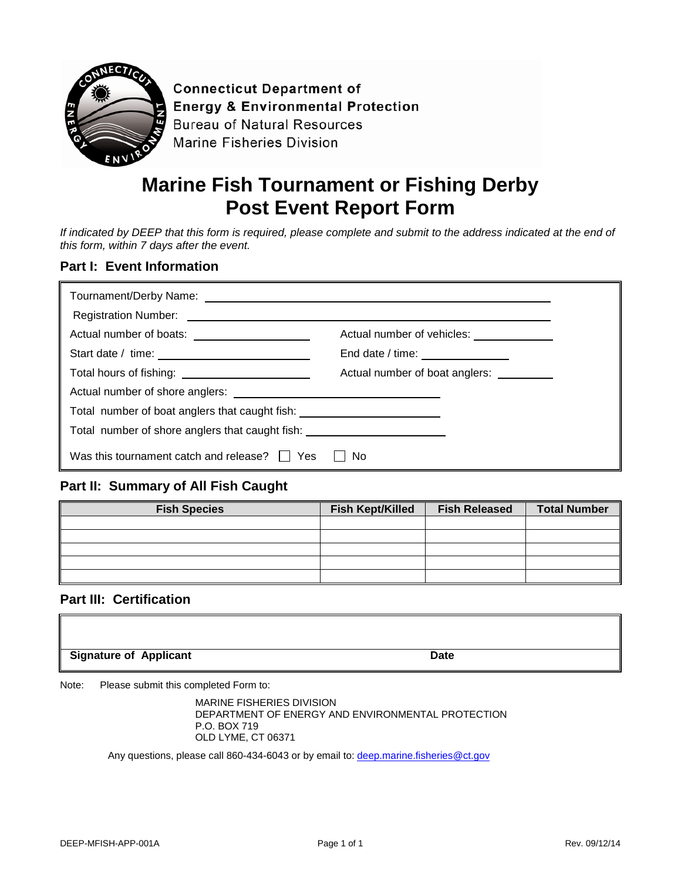

**Connecticut Department of Energy & Environmental Protection Bureau of Natural Resources Marine Fisheries Division** 

## **Marine Fish Tournament or Fishing Derby Post Event Report Form**

*If indicated by DEEP that this form is required, please complete and submit to the address indicated at the end of this form, within 7 days after the event.* 

### **Part I: Event Information**

| Actual number of boats: _____________________                                    | Actual number of vehicles: _____________ |  |
|----------------------------------------------------------------------------------|------------------------------------------|--|
|                                                                                  | End date / time: _______________         |  |
|                                                                                  | Actual number of boat anglers:           |  |
|                                                                                  |                                          |  |
| Total number of boat anglers that caught fish: _________________________________ |                                          |  |
| Total number of shore anglers that caught fish: ________________________________ |                                          |  |
| Was this tournament catch and release?     Yes                                   | No.                                      |  |

### **Part II: Summary of All Fish Caught**

| <b>Fish Species</b> | <b>Fish Kept/Killed</b> | <b>Fish Released</b> | <b>Total Number</b> |
|---------------------|-------------------------|----------------------|---------------------|
|                     |                         |                      |                     |
|                     |                         |                      |                     |
|                     |                         |                      |                     |
|                     |                         |                      |                     |
|                     |                         |                      |                     |

### **Part III: Certification**

| <b>Signature of Applicant</b> | Date |
|-------------------------------|------|

Note: Please submit this completed Form to:

MARINE FISHERIES DIVISION DEPARTMENT OF ENERGY AND ENVIRONMENTAL PROTECTION P.O. BOX 719 OLD LYME, CT 06371

Any questions, please call 860-434-6043 or by email to: deep.marine.fisheries@ct.gov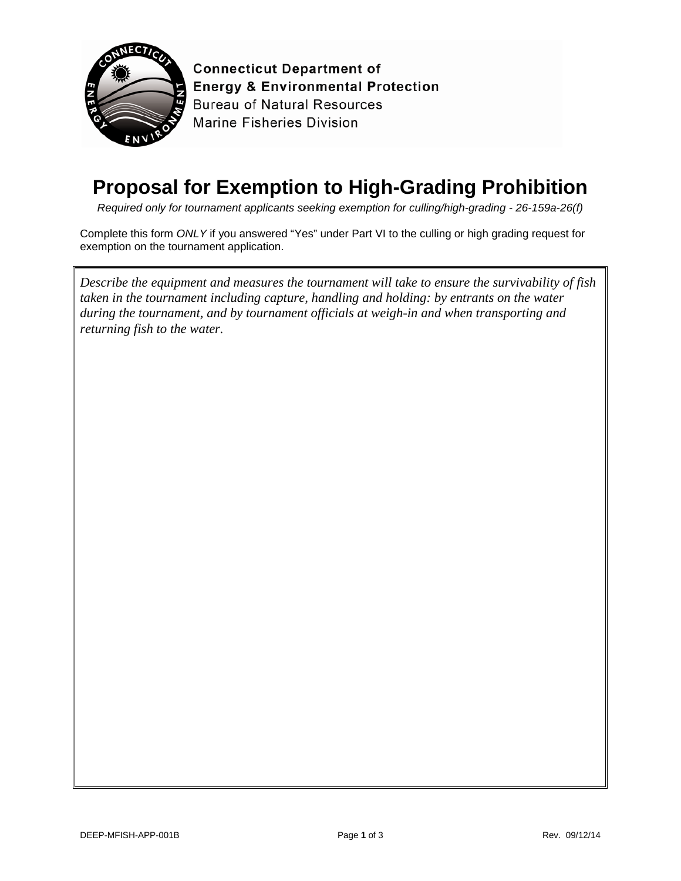

**Connecticut Department of Energy & Environmental Protection Bureau of Natural Resources Marine Fisheries Division** 

## **Proposal for Exemption to High-Grading Prohibition**

*Required only for tournament applicants seeking exemption for culling/high-grading - 26-159a-26(f)*

Complete this form *ONLY* if you answered "Yes" under Part VI to the culling or high grading request for exemption on the tournament application.

*Describe the equipment and measures the tournament will take to ensure the survivability of fish taken in the tournament including capture, handling and holding: by entrants on the water during the tournament, and by tournament officials at weigh-in and when transporting and returning fish to the water.*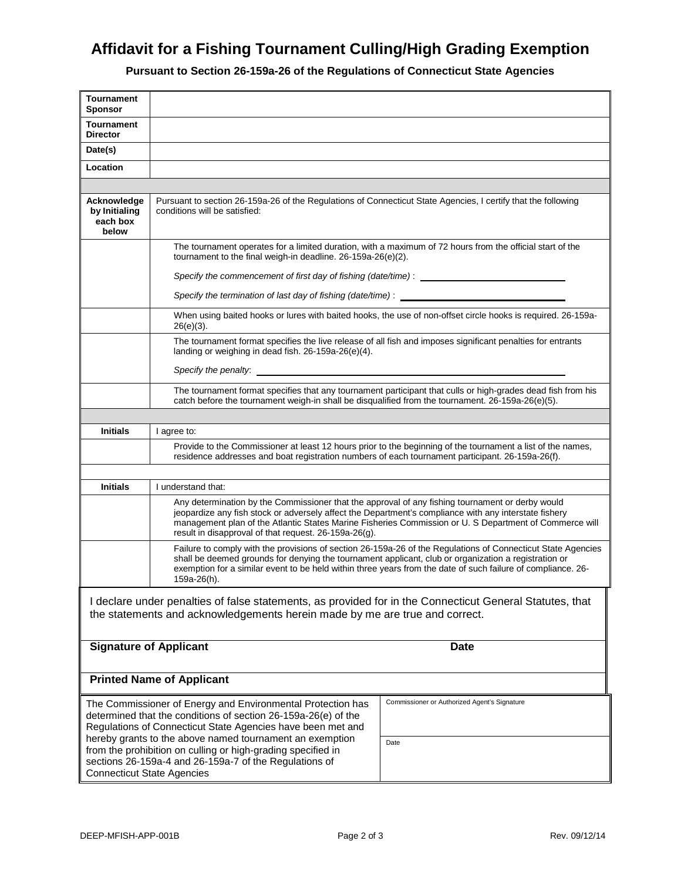### **Affidavit for a Fishing Tournament Culling/High Grading Exemption**

**Pursuant to Section 26-159a-26 of the Regulations of Connecticut State Agencies**

| <b>Tournament</b><br><b>Sponsor</b>                                                                                                                                                                                                          |                                                                                                                                                                                                                                                                                                                                                                              |                                                                                                              |  |  |
|----------------------------------------------------------------------------------------------------------------------------------------------------------------------------------------------------------------------------------------------|------------------------------------------------------------------------------------------------------------------------------------------------------------------------------------------------------------------------------------------------------------------------------------------------------------------------------------------------------------------------------|--------------------------------------------------------------------------------------------------------------|--|--|
| <b>Tournament</b><br><b>Director</b>                                                                                                                                                                                                         |                                                                                                                                                                                                                                                                                                                                                                              |                                                                                                              |  |  |
| Date(s)                                                                                                                                                                                                                                      |                                                                                                                                                                                                                                                                                                                                                                              |                                                                                                              |  |  |
| Location                                                                                                                                                                                                                                     |                                                                                                                                                                                                                                                                                                                                                                              |                                                                                                              |  |  |
|                                                                                                                                                                                                                                              |                                                                                                                                                                                                                                                                                                                                                                              |                                                                                                              |  |  |
| Acknowledge<br>by Initialing<br>each box<br>below                                                                                                                                                                                            | Pursuant to section 26-159a-26 of the Regulations of Connecticut State Agencies, I certify that the following<br>conditions will be satisfied:                                                                                                                                                                                                                               |                                                                                                              |  |  |
|                                                                                                                                                                                                                                              | The tournament operates for a limited duration, with a maximum of 72 hours from the official start of the<br>tournament to the final weigh-in deadline. 26-159a-26(e)(2).                                                                                                                                                                                                    |                                                                                                              |  |  |
|                                                                                                                                                                                                                                              | Specify the commencement of first day of fishing (date/time) :                                                                                                                                                                                                                                                                                                               |                                                                                                              |  |  |
|                                                                                                                                                                                                                                              | Specify the termination of last day of fishing (date/time) : ____________________                                                                                                                                                                                                                                                                                            |                                                                                                              |  |  |
|                                                                                                                                                                                                                                              | $26(e)(3)$ .                                                                                                                                                                                                                                                                                                                                                                 | When using baited hooks or lures with baited hooks, the use of non-offset circle hooks is required. 26-159a- |  |  |
|                                                                                                                                                                                                                                              | The tournament format specifies the live release of all fish and imposes significant penalties for entrants<br>landing or weighing in dead fish. 26-159a-26(e)(4).                                                                                                                                                                                                           |                                                                                                              |  |  |
|                                                                                                                                                                                                                                              | Specify the penalty: <u>contained a set of the set of the set of the set of the set of the set of the set of the set of the set of the set of the set of the set of the set of the set of the set of the set of the set of the s</u>                                                                                                                                         |                                                                                                              |  |  |
|                                                                                                                                                                                                                                              | The tournament format specifies that any tournament participant that culls or high-grades dead fish from his<br>catch before the tournament weigh-in shall be disqualified from the tournament. 26-159a-26(e)(5).                                                                                                                                                            |                                                                                                              |  |  |
|                                                                                                                                                                                                                                              |                                                                                                                                                                                                                                                                                                                                                                              |                                                                                                              |  |  |
| <b>Initials</b>                                                                                                                                                                                                                              | I agree to:                                                                                                                                                                                                                                                                                                                                                                  |                                                                                                              |  |  |
|                                                                                                                                                                                                                                              | Provide to the Commissioner at least 12 hours prior to the beginning of the tournament a list of the names,<br>residence addresses and boat registration numbers of each tournament participant. 26-159a-26(f).                                                                                                                                                              |                                                                                                              |  |  |
| <b>Initials</b>                                                                                                                                                                                                                              | I understand that:                                                                                                                                                                                                                                                                                                                                                           |                                                                                                              |  |  |
|                                                                                                                                                                                                                                              | Any determination by the Commissioner that the approval of any fishing tournament or derby would<br>jeopardize any fish stock or adversely affect the Department's compliance with any interstate fishery<br>management plan of the Atlantic States Marine Fisheries Commission or U. S Department of Commerce will<br>result in disapproval of that request. 26-159a-26(g). |                                                                                                              |  |  |
|                                                                                                                                                                                                                                              | Failure to comply with the provisions of section 26-159a-26 of the Regulations of Connecticut State Agencies<br>shall be deemed grounds for denying the tournament applicant, club or organization a registration or<br>exemption for a similar event to be held within three years from the date of such failure of compliance. 26-<br>159a-26(h).                          |                                                                                                              |  |  |
| I declare under penalties of false statements, as provided for in the Connecticut General Statutes, that<br>the statements and acknowledgements herein made by me are true and correct.                                                      |                                                                                                                                                                                                                                                                                                                                                                              |                                                                                                              |  |  |
| <b>Signature of Applicant</b><br><b>Date</b>                                                                                                                                                                                                 |                                                                                                                                                                                                                                                                                                                                                                              |                                                                                                              |  |  |
| <b>Printed Name of Applicant</b>                                                                                                                                                                                                             |                                                                                                                                                                                                                                                                                                                                                                              |                                                                                                              |  |  |
| Commissioner or Authorized Agent's Signature<br>The Commissioner of Energy and Environmental Protection has<br>determined that the conditions of section 26-159a-26(e) of the<br>Regulations of Connecticut State Agencies have been met and |                                                                                                                                                                                                                                                                                                                                                                              |                                                                                                              |  |  |
| hereby grants to the above named tournament an exemption<br>Date<br>from the prohibition on culling or high-grading specified in<br>sections 26-159a-4 and 26-159a-7 of the Regulations of<br><b>Connecticut State Agencies</b>              |                                                                                                                                                                                                                                                                                                                                                                              |                                                                                                              |  |  |